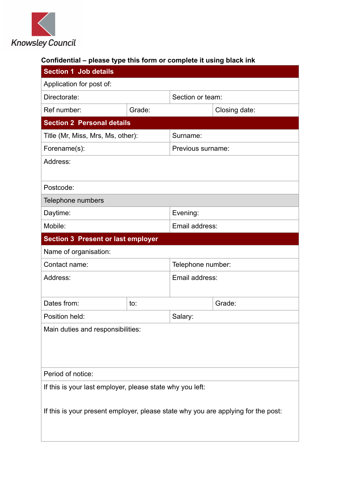

# **Confidential – please type this form or complete it using black ink**

| <b>Section 1 Job details</b>                                                                                                                   |                |                   |        |  |
|------------------------------------------------------------------------------------------------------------------------------------------------|----------------|-------------------|--------|--|
| Application for post of:                                                                                                                       |                |                   |        |  |
| Directorate:                                                                                                                                   |                | Section or team:  |        |  |
| Ref number:                                                                                                                                    | Grade:         | Closing date:     |        |  |
| <b>Section 2 Personal details</b>                                                                                                              |                |                   |        |  |
| Title (Mr, Miss, Mrs, Ms, other):                                                                                                              |                | Surname:          |        |  |
| Forename(s):                                                                                                                                   |                | Previous surname: |        |  |
| Address:                                                                                                                                       |                |                   |        |  |
| Postcode:                                                                                                                                      |                |                   |        |  |
| Telephone numbers                                                                                                                              |                |                   |        |  |
| Daytime:                                                                                                                                       |                | Evening:          |        |  |
| Mobile:                                                                                                                                        |                | Email address:    |        |  |
| <b>Section 3 Present or last employer</b>                                                                                                      |                |                   |        |  |
| Name of organisation:                                                                                                                          |                |                   |        |  |
| Contact name:<br>Telephone number:                                                                                                             |                |                   |        |  |
| Address:                                                                                                                                       | Email address: |                   |        |  |
| Dates from:                                                                                                                                    | to:            |                   | Grade: |  |
| Position held:                                                                                                                                 |                | Salary:           |        |  |
| Main duties and responsibilities:                                                                                                              |                |                   |        |  |
| Period of notice:                                                                                                                              |                |                   |        |  |
| If this is your last employer, please state why you left:<br>If this is your present employer, please state why you are applying for the post: |                |                   |        |  |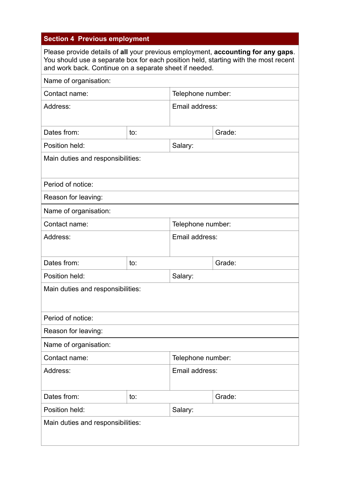# **Section 4 Previous employment**

| Please provide details of all your previous employment, accounting for any gaps.<br>You should use a separate box for each position held, starting with the most recent<br>and work back. Continue on a separate sheet if needed. |     |                   |        |  |
|-----------------------------------------------------------------------------------------------------------------------------------------------------------------------------------------------------------------------------------|-----|-------------------|--------|--|
| Name of organisation:                                                                                                                                                                                                             |     |                   |        |  |
| Contact name:                                                                                                                                                                                                                     |     | Telephone number: |        |  |
| Address:                                                                                                                                                                                                                          |     | Email address:    |        |  |
| Dates from:                                                                                                                                                                                                                       | to: |                   | Grade: |  |
| Position held:                                                                                                                                                                                                                    |     | Salary:           |        |  |
| Main duties and responsibilities:                                                                                                                                                                                                 |     |                   |        |  |
| Period of notice:                                                                                                                                                                                                                 |     |                   |        |  |
| Reason for leaving:                                                                                                                                                                                                               |     |                   |        |  |
| Name of organisation:                                                                                                                                                                                                             |     |                   |        |  |
| Contact name:                                                                                                                                                                                                                     |     | Telephone number: |        |  |
| Address:                                                                                                                                                                                                                          |     | Email address:    |        |  |
| Dates from:                                                                                                                                                                                                                       | to: |                   | Grade: |  |
| Position held:<br>Salary:                                                                                                                                                                                                         |     |                   |        |  |
| Main duties and responsibilities:                                                                                                                                                                                                 |     |                   |        |  |
| Period of notice:                                                                                                                                                                                                                 |     |                   |        |  |
| Reason for leaving:                                                                                                                                                                                                               |     |                   |        |  |
| Name of organisation:                                                                                                                                                                                                             |     |                   |        |  |
| Contact name:                                                                                                                                                                                                                     |     | Telephone number: |        |  |
| Address:                                                                                                                                                                                                                          |     | Email address:    |        |  |
| Dates from:                                                                                                                                                                                                                       | to: |                   | Grade: |  |
| Position held:                                                                                                                                                                                                                    |     | Salary:           |        |  |
| Main duties and responsibilities:                                                                                                                                                                                                 |     |                   |        |  |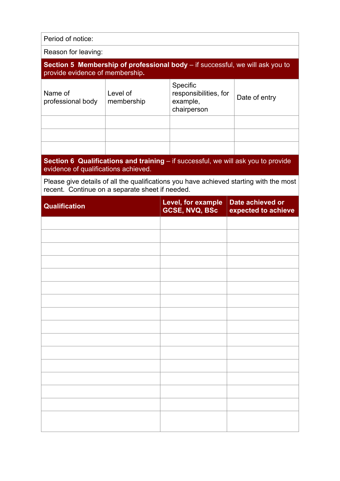| Period of notice:                               |                        |                                                                                   |                                                                                        |  |
|-------------------------------------------------|------------------------|-----------------------------------------------------------------------------------|----------------------------------------------------------------------------------------|--|
| Reason for leaving:                             |                        |                                                                                   |                                                                                        |  |
| provide evidence of membership.                 |                        | Section 5 Membership of professional body - if successful, we will ask you to     |                                                                                        |  |
| Name of<br>professional body                    | Level of<br>membership | Specific<br>responsibilities, for<br>example,<br>chairperson                      | Date of entry                                                                          |  |
|                                                 |                        |                                                                                   |                                                                                        |  |
|                                                 |                        |                                                                                   |                                                                                        |  |
| evidence of qualifications achieved.            |                        | Section 6 Qualifications and training - if successful, we will ask you to provide |                                                                                        |  |
| recent. Continue on a separate sheet if needed. |                        |                                                                                   | Please give details of all the qualifications you have achieved starting with the most |  |
| <b>Qualification</b>                            |                        | Level, for example<br>GCSE, NVQ, BSc                                              | Date achieved or<br>expected to achieve                                                |  |
|                                                 |                        |                                                                                   |                                                                                        |  |
|                                                 |                        |                                                                                   |                                                                                        |  |
|                                                 |                        |                                                                                   |                                                                                        |  |
|                                                 |                        |                                                                                   |                                                                                        |  |
|                                                 |                        |                                                                                   |                                                                                        |  |
|                                                 |                        |                                                                                   |                                                                                        |  |
|                                                 |                        |                                                                                   |                                                                                        |  |
|                                                 |                        |                                                                                   |                                                                                        |  |
|                                                 |                        |                                                                                   |                                                                                        |  |
|                                                 |                        |                                                                                   |                                                                                        |  |
|                                                 |                        |                                                                                   |                                                                                        |  |
|                                                 |                        |                                                                                   |                                                                                        |  |
|                                                 |                        |                                                                                   |                                                                                        |  |
|                                                 |                        |                                                                                   |                                                                                        |  |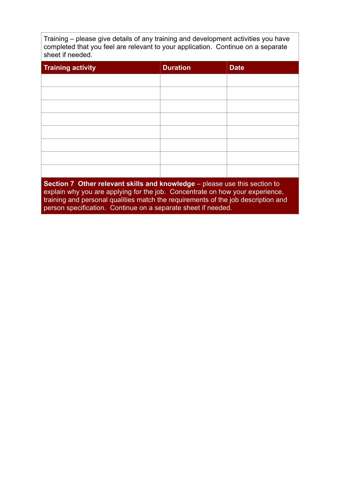Training – please give details of any training and development activities you have completed that you feel are relevant to your application. Continue on a separate sheet if needed.

| <b>Training activity</b> | <b>Duration</b> | <b>Date</b> |
|--------------------------|-----------------|-------------|
|                          |                 |             |
|                          |                 |             |
|                          |                 |             |
|                          |                 |             |
|                          |                 |             |
|                          |                 |             |
|                          |                 |             |
|                          |                 |             |

**Section 7 Other relevant skills and knowledge** – please use this section to explain why you are applying for the job. Concentrate on how your experience, training and personal qualities match the requirements of the job description and person specification. Continue on a separate sheet if needed.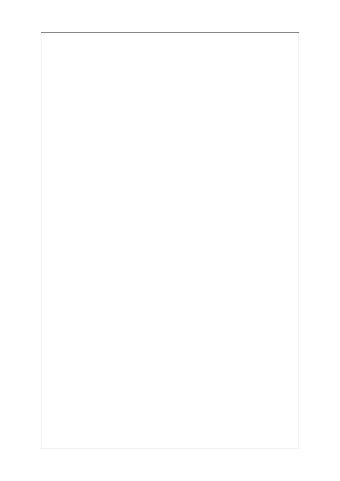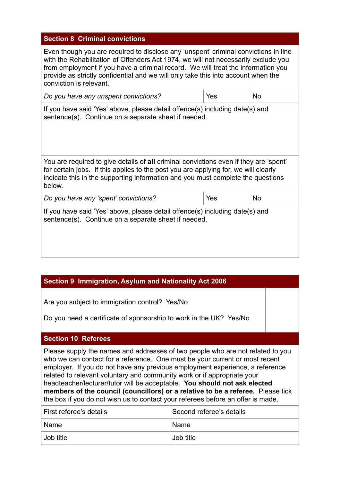### **Section 8 Criminal convictions**

Even though you are required to disclose any 'unspent' criminal convictions in line with the Rehabilitation of Offenders Act 1974, we will not necessarily exclude you from employment if you have a criminal record. We will treat the information you provide as strictly confidential and we will only take this into account when the conviction is relevant.

| $\vert$ Yes<br>Do you have any unspent convictions? | No |  |
|-----------------------------------------------------|----|--|
|-----------------------------------------------------|----|--|

If you have said 'Yes' above, please detail offence(s) including date(s) and sentence(s). Continue on a separate sheet if needed.

You are required to give details of **all** criminal convictions even if they are 'spent' for certain jobs. If this applies to the post you are applying for, we will clearly indicate this in the supporting information and you must complete the questions below.

| Do you have any 'spent' convictions? | 'Yes | Mo |
|--------------------------------------|------|----|
|--------------------------------------|------|----|

If you have said 'Yes' above, please detail offence(s) including date(s) and sentence(s). Continue on a separate sheet if needed.

### **Section 9 Immigration, Asylum and Nationality Act 2006**

Are you subject to immigration control? Yes/No

Do you need a certificate of sponsorship to work in the UK? Yes/No

#### **Section 10 Referees**

Please supply the names and addresses of two people who are not related to you who we can contact for a reference. One must be your current or most recent employer. If you do not have any previous employment experience, a reference related to relevant voluntary and community work or if appropriate your headteacher/lecturer/tutor will be acceptable. **You should not ask elected members of the council (councillors) or a relative to be a referee.** Please tick the box if you do not wish us to contact your referees before an offer is made.

| First referee's details | Second referee's details |
|-------------------------|--------------------------|
| Name                    | Name                     |
| Job title               | Job title                |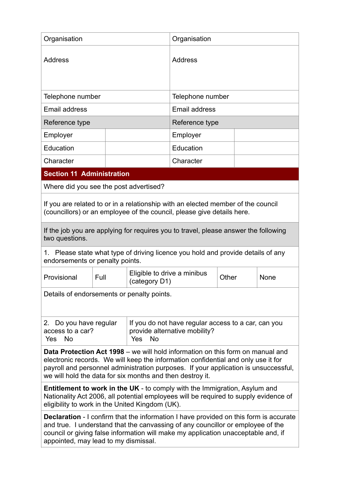| Organisation                                                                                                                                                                                                                                                                                                                   |                                            |                                              | Organisation     |       |  |      |  |
|--------------------------------------------------------------------------------------------------------------------------------------------------------------------------------------------------------------------------------------------------------------------------------------------------------------------------------|--------------------------------------------|----------------------------------------------|------------------|-------|--|------|--|
| <b>Address</b>                                                                                                                                                                                                                                                                                                                 |                                            | <b>Address</b>                               |                  |       |  |      |  |
| Telephone number                                                                                                                                                                                                                                                                                                               |                                            |                                              | Telephone number |       |  |      |  |
| <b>Email address</b>                                                                                                                                                                                                                                                                                                           |                                            |                                              | Email address    |       |  |      |  |
| Reference type                                                                                                                                                                                                                                                                                                                 |                                            |                                              | Reference type   |       |  |      |  |
| Employer                                                                                                                                                                                                                                                                                                                       |                                            |                                              | Employer         |       |  |      |  |
| Education                                                                                                                                                                                                                                                                                                                      |                                            |                                              | Education        |       |  |      |  |
| Character                                                                                                                                                                                                                                                                                                                      |                                            |                                              | Character        |       |  |      |  |
| <b>Section 11 Administration</b>                                                                                                                                                                                                                                                                                               |                                            |                                              |                  |       |  |      |  |
| Where did you see the post advertised?                                                                                                                                                                                                                                                                                         |                                            |                                              |                  |       |  |      |  |
| If you are related to or in a relationship with an elected member of the council<br>(councillors) or an employee of the council, please give details here.                                                                                                                                                                     |                                            |                                              |                  |       |  |      |  |
| If the job you are applying for requires you to travel, please answer the following<br>two questions.                                                                                                                                                                                                                          |                                            |                                              |                  |       |  |      |  |
| 1. Please state what type of driving licence you hold and provide details of any<br>endorsements or penalty points.                                                                                                                                                                                                            |                                            |                                              |                  |       |  |      |  |
| Provisional                                                                                                                                                                                                                                                                                                                    | Full                                       | Eligible to drive a minibus<br>(category D1) |                  | Other |  | None |  |
|                                                                                                                                                                                                                                                                                                                                | Details of endorsements or penalty points. |                                              |                  |       |  |      |  |
| 2. Do you have regular<br>If you do not have regular access to a car, can you<br>access to a car?<br>provide alternative mobility?<br>Yes No<br><b>No</b><br><b>Yes</b>                                                                                                                                                        |                                            |                                              |                  |       |  |      |  |
| <b>Data Protection Act 1998</b> – we will hold information on this form on manual and<br>electronic records. We will keep the information confidential and only use it for<br>payroll and personnel administration purposes. If your application is unsuccessful,<br>we will hold the data for six months and then destroy it. |                                            |                                              |                  |       |  |      |  |
| <b>Entitlement to work in the UK</b> - to comply with the Immigration, Asylum and<br>Nationality Act 2006, all potential employees will be required to supply evidence of<br>eligibility to work in the United Kingdom (UK).                                                                                                   |                                            |                                              |                  |       |  |      |  |
| <b>Declaration</b> - I confirm that the information I have provided on this form is accurate<br>and true. I understand that the canvassing of any councillor or employee of the<br>council or giving false information will make my application unacceptable and, if<br>appointed, may lead to my dismissal.                   |                                            |                                              |                  |       |  |      |  |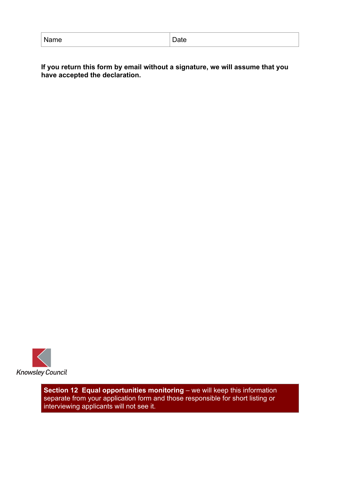| Name | Date |
|------|------|
|------|------|

**If you return this form by email without a signature, we will assume that you have accepted the declaration.** 



**Section 12 Equal opportunities monitoring** – we will keep this information separate from your application form and those responsible for short listing or interviewing applicants will not see it.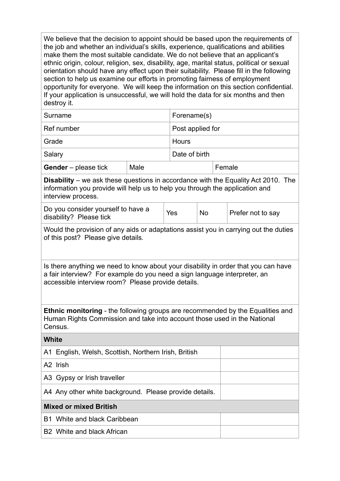We believe that the decision to appoint should be based upon the requirements of the job and whether an individual's skills, experience, qualifications and abilities make them the most suitable candidate. We do not believe that an applicant's ethnic origin, colour, religion, sex, disability, age, marital status, political or sexual orientation should have any effect upon their suitability. Please fill in the following section to help us examine our efforts in promoting fairness of employment opportunity for everyone. We will keep the information on this section confidential. If your application is unsuccessful, we will hold the data for six months and then destroy it.

| Surname                                                                                                                                                                                                               |      |               | Forename(s)      |  |                   |  |
|-----------------------------------------------------------------------------------------------------------------------------------------------------------------------------------------------------------------------|------|---------------|------------------|--|-------------------|--|
| Ref number                                                                                                                                                                                                            |      |               | Post applied for |  |                   |  |
| Grade                                                                                                                                                                                                                 |      | Hours         |                  |  |                   |  |
| Salary                                                                                                                                                                                                                |      | Date of birth |                  |  |                   |  |
| <b>Gender</b> – please tick                                                                                                                                                                                           | Male |               |                  |  | Female            |  |
| <b>Disability</b> – we ask these questions in accordance with the Equality Act 2010. The<br>information you provide will help us to help you through the application and<br>interview process.                        |      |               |                  |  |                   |  |
| Do you consider yourself to have a<br>disability? Please tick                                                                                                                                                         |      | Yes           | <b>No</b>        |  | Prefer not to say |  |
| Would the provision of any aids or adaptations assist you in carrying out the duties<br>of this post? Please give details.                                                                                            |      |               |                  |  |                   |  |
| Is there anything we need to know about your disability in order that you can have<br>a fair interview? For example do you need a sign language interpreter, an<br>accessible interview room? Please provide details. |      |               |                  |  |                   |  |
| <b>Ethnic monitoring</b> - the following groups are recommended by the Equalities and<br>Human Rights Commission and take into account those used in the National<br>Census.                                          |      |               |                  |  |                   |  |
| <b>White</b>                                                                                                                                                                                                          |      |               |                  |  |                   |  |
| A1 English, Welsh, Scottish, Northern Irish, British                                                                                                                                                                  |      |               |                  |  |                   |  |
| A2 Irish                                                                                                                                                                                                              |      |               |                  |  |                   |  |
| A3 Gypsy or Irish traveller                                                                                                                                                                                           |      |               |                  |  |                   |  |
| A4 Any other white background. Please provide details.                                                                                                                                                                |      |               |                  |  |                   |  |
| <b>Mixed or mixed British</b>                                                                                                                                                                                         |      |               |                  |  |                   |  |
| B1 White and black Caribbean                                                                                                                                                                                          |      |               |                  |  |                   |  |

B2 White and black African